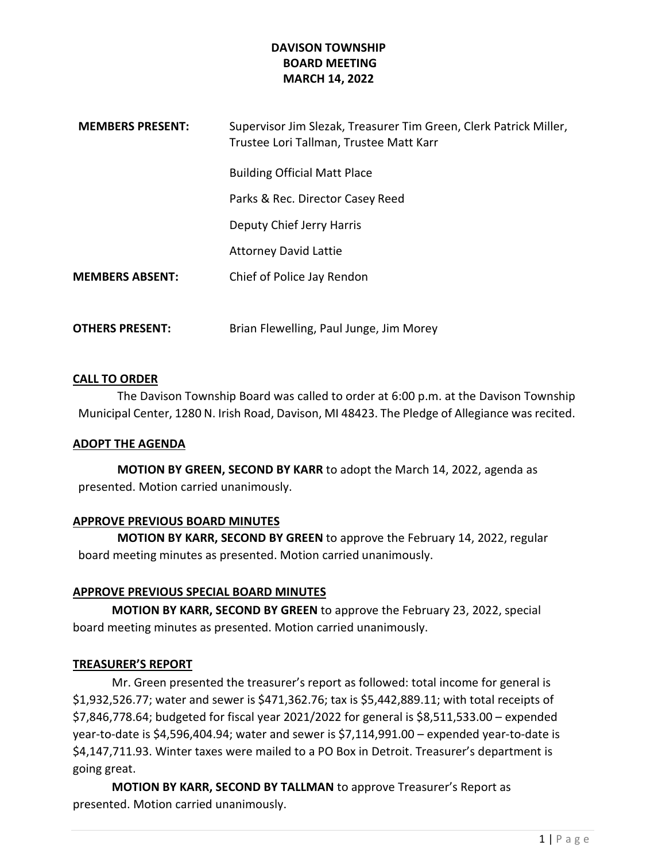| <b>MEMBERS PRESENT:</b> | Supervisor Jim Slezak, Treasurer Tim Green, Clerk Patrick Miller,<br>Trustee Lori Tallman, Trustee Matt Karr |
|-------------------------|--------------------------------------------------------------------------------------------------------------|
|                         | <b>Building Official Matt Place</b>                                                                          |
|                         | Parks & Rec. Director Casey Reed                                                                             |
|                         | Deputy Chief Jerry Harris                                                                                    |
|                         | <b>Attorney David Lattie</b>                                                                                 |
| <b>MEMBERS ABSENT:</b>  | Chief of Police Jay Rendon                                                                                   |
|                         |                                                                                                              |
| <b>OTHERS PRESENT:</b>  | Brian Flewelling, Paul Junge, Jim Morey                                                                      |

## CALL TO ORDER

The Davison Township Board was called to order at 6:00 p.m. at the Davison Township Municipal Center, 1280 N. Irish Road, Davison, MI 48423. The Pledge of Allegiance was recited.

#### ADOPT THE AGENDA

MOTION BY GREEN, SECOND BY KARR to adopt the March 14, 2022, agenda as presented. Motion carried unanimously.

## APPROVE PREVIOUS BOARD MINUTES

MOTION BY KARR, SECOND BY GREEN to approve the February 14, 2022, regular board meeting minutes as presented. Motion carried unanimously.

## APPROVE PREVIOUS SPECIAL BOARD MINUTES

MOTION BY KARR, SECOND BY GREEN to approve the February 23, 2022, special board meeting minutes as presented. Motion carried unanimously.

#### TREASURER'S REPORT

 Mr. Green presented the treasurer's report as followed: total income for general is \$1,932,526.77; water and sewer is \$471,362.76; tax is \$5,442,889.11; with total receipts of \$7,846,778.64; budgeted for fiscal year 2021/2022 for general is \$8,511,533.00 – expended year-to-date is \$4,596,404.94; water and sewer is \$7,114,991.00 – expended year-to-date is \$4,147,711.93. Winter taxes were mailed to a PO Box in Detroit. Treasurer's department is going great.

MOTION BY KARR, SECOND BY TALLMAN to approve Treasurer's Report as presented. Motion carried unanimously.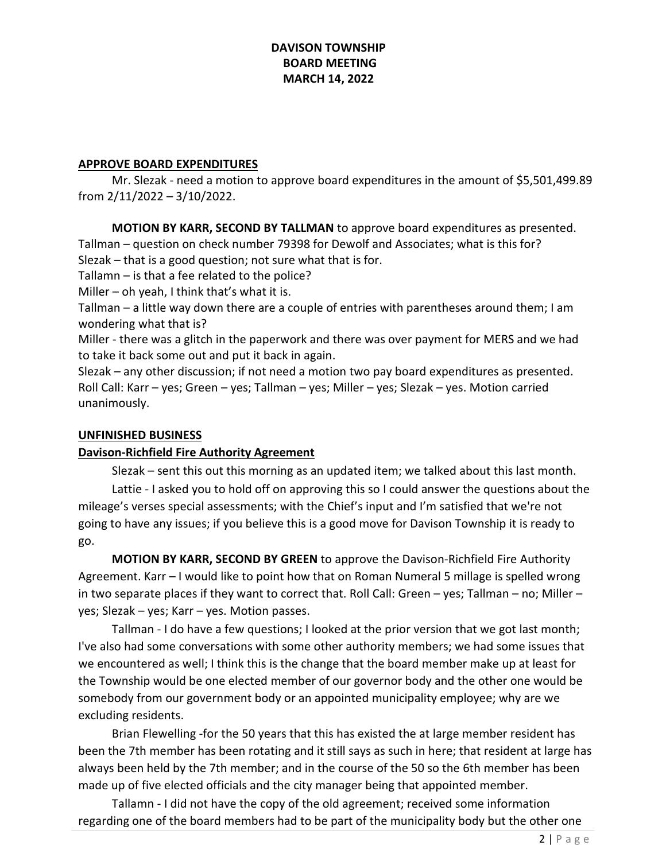## APPROVE BOARD EXPENDITURES

 Mr. Slezak - need a motion to approve board expenditures in the amount of \$5,501,499.89 from 2/11/2022 – 3/10/2022.

MOTION BY KARR, SECOND BY TALLMAN to approve board expenditures as presented. Tallman – question on check number 79398 for Dewolf and Associates; what is this for? Slezak – that is a good question; not sure what that is for. Tallamn – is that a fee related to the police?

Miller – oh yeah, I think that's what it is.

Tallman – a little way down there are a couple of entries with parentheses around them; I am wondering what that is?

Miller - there was a glitch in the paperwork and there was over payment for MERS and we had to take it back some out and put it back in again.

Slezak – any other discussion; if not need a motion two pay board expenditures as presented. Roll Call: Karr – yes; Green – yes; Tallman – yes; Miller – yes; Slezak – yes. Motion carried unanimously.

## UNFINISHED BUSINESS

# Davison-Richfield Fire Authority Agreement

 Slezak – sent this out this morning as an updated item; we talked about this last month. Lattie - I asked you to hold off on approving this so I could answer the questions about the mileage's verses special assessments; with the Chief's input and I'm satisfied that we're not going to have any issues; if you believe this is a good move for Davison Township it is ready to go.

MOTION BY KARR, SECOND BY GREEN to approve the Davison-Richfield Fire Authority Agreement. Karr – I would like to point how that on Roman Numeral 5 millage is spelled wrong in two separate places if they want to correct that. Roll Call: Green – yes; Tallman – no; Miller – yes; Slezak – yes; Karr – yes. Motion passes.

Tallman - I do have a few questions; I looked at the prior version that we got last month; I've also had some conversations with some other authority members; we had some issues that we encountered as well; I think this is the change that the board member make up at least for the Township would be one elected member of our governor body and the other one would be somebody from our government body or an appointed municipality employee; why are we excluding residents.

 Brian Flewelling -for the 50 years that this has existed the at large member resident has been the 7th member has been rotating and it still says as such in here; that resident at large has always been held by the 7th member; and in the course of the 50 so the 6th member has been made up of five elected officials and the city manager being that appointed member.

 Tallamn - I did not have the copy of the old agreement; received some information regarding one of the board members had to be part of the municipality body but the other one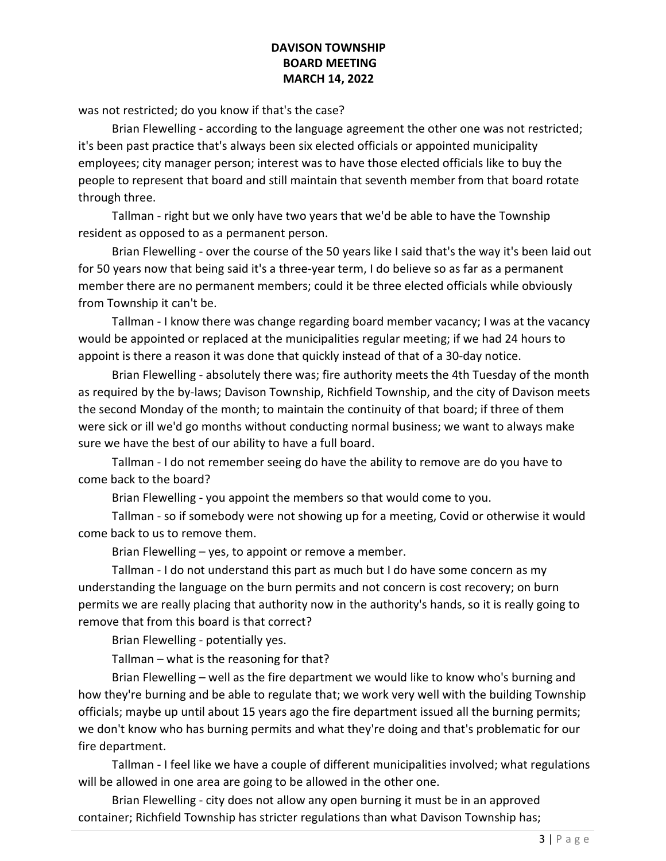was not restricted; do you know if that's the case?

 Brian Flewelling - according to the language agreement the other one was not restricted; it's been past practice that's always been six elected officials or appointed municipality employees; city manager person; interest was to have those elected officials like to buy the people to represent that board and still maintain that seventh member from that board rotate through three.

 Tallman - right but we only have two years that we'd be able to have the Township resident as opposed to as a permanent person.

 Brian Flewelling - over the course of the 50 years like I said that's the way it's been laid out for 50 years now that being said it's a three-year term, I do believe so as far as a permanent member there are no permanent members; could it be three elected officials while obviously from Township it can't be.

 Tallman - I know there was change regarding board member vacancy; I was at the vacancy would be appointed or replaced at the municipalities regular meeting; if we had 24 hours to appoint is there a reason it was done that quickly instead of that of a 30-day notice.

 Brian Flewelling - absolutely there was; fire authority meets the 4th Tuesday of the month as required by the by-laws; Davison Township, Richfield Township, and the city of Davison meets the second Monday of the month; to maintain the continuity of that board; if three of them were sick or ill we'd go months without conducting normal business; we want to always make sure we have the best of our ability to have a full board.

 Tallman - I do not remember seeing do have the ability to remove are do you have to come back to the board?

Brian Flewelling - you appoint the members so that would come to you.

 Tallman - so if somebody were not showing up for a meeting, Covid or otherwise it would come back to us to remove them.

Brian Flewelling – yes, to appoint or remove a member.

 Tallman - I do not understand this part as much but I do have some concern as my understanding the language on the burn permits and not concern is cost recovery; on burn permits we are really placing that authority now in the authority's hands, so it is really going to remove that from this board is that correct?

Brian Flewelling - potentially yes.

Tallman – what is the reasoning for that?

 Brian Flewelling – well as the fire department we would like to know who's burning and how they're burning and be able to regulate that; we work very well with the building Township officials; maybe up until about 15 years ago the fire department issued all the burning permits; we don't know who has burning permits and what they're doing and that's problematic for our fire department.

 Tallman - I feel like we have a couple of different municipalities involved; what regulations will be allowed in one area are going to be allowed in the other one.

 Brian Flewelling - city does not allow any open burning it must be in an approved container; Richfield Township has stricter regulations than what Davison Township has;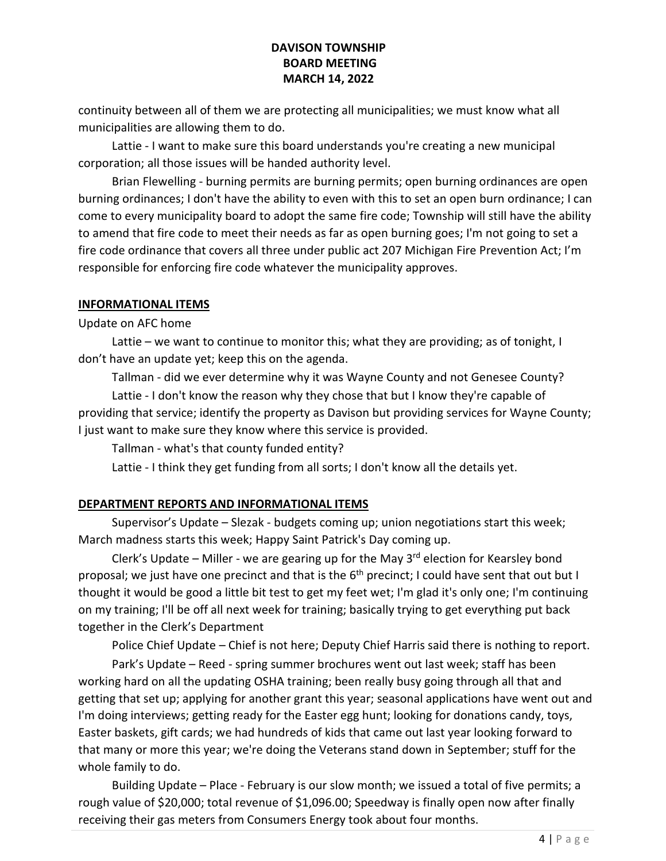continuity between all of them we are protecting all municipalities; we must know what all municipalities are allowing them to do.

 Lattie - I want to make sure this board understands you're creating a new municipal corporation; all those issues will be handed authority level.

 Brian Flewelling - burning permits are burning permits; open burning ordinances are open burning ordinances; I don't have the ability to even with this to set an open burn ordinance; I can come to every municipality board to adopt the same fire code; Township will still have the ability to amend that fire code to meet their needs as far as open burning goes; I'm not going to set a fire code ordinance that covers all three under public act 207 Michigan Fire Prevention Act; I'm responsible for enforcing fire code whatever the municipality approves.

# INFORMATIONAL ITEMS

# Update on AFC home

 Lattie – we want to continue to monitor this; what they are providing; as of tonight, I don't have an update yet; keep this on the agenda.

Tallman - did we ever determine why it was Wayne County and not Genesee County?

 Lattie - I don't know the reason why they chose that but I know they're capable of providing that service; identify the property as Davison but providing services for Wayne County; I just want to make sure they know where this service is provided.

Tallman - what's that county funded entity?

Lattie - I think they get funding from all sorts; I don't know all the details yet.

# DEPARTMENT REPORTS AND INFORMATIONAL ITEMS

 Supervisor's Update – Slezak - budgets coming up; union negotiations start this week; March madness starts this week; Happy Saint Patrick's Day coming up.

Clerk's Update – Miller - we are gearing up for the May  $3<sup>rd</sup>$  election for Kearsley bond proposal; we just have one precinct and that is the  $6<sup>th</sup>$  precinct; I could have sent that out but I thought it would be good a little bit test to get my feet wet; I'm glad it's only one; I'm continuing on my training; I'll be off all next week for training; basically trying to get everything put back together in the Clerk's Department

Police Chief Update – Chief is not here; Deputy Chief Harris said there is nothing to report.

 Park's Update – Reed - spring summer brochures went out last week; staff has been working hard on all the updating OSHA training; been really busy going through all that and getting that set up; applying for another grant this year; seasonal applications have went out and I'm doing interviews; getting ready for the Easter egg hunt; looking for donations candy, toys, Easter baskets, gift cards; we had hundreds of kids that came out last year looking forward to that many or more this year; we're doing the Veterans stand down in September; stuff for the whole family to do.

 Building Update – Place - February is our slow month; we issued a total of five permits; a rough value of \$20,000; total revenue of \$1,096.00; Speedway is finally open now after finally receiving their gas meters from Consumers Energy took about four months.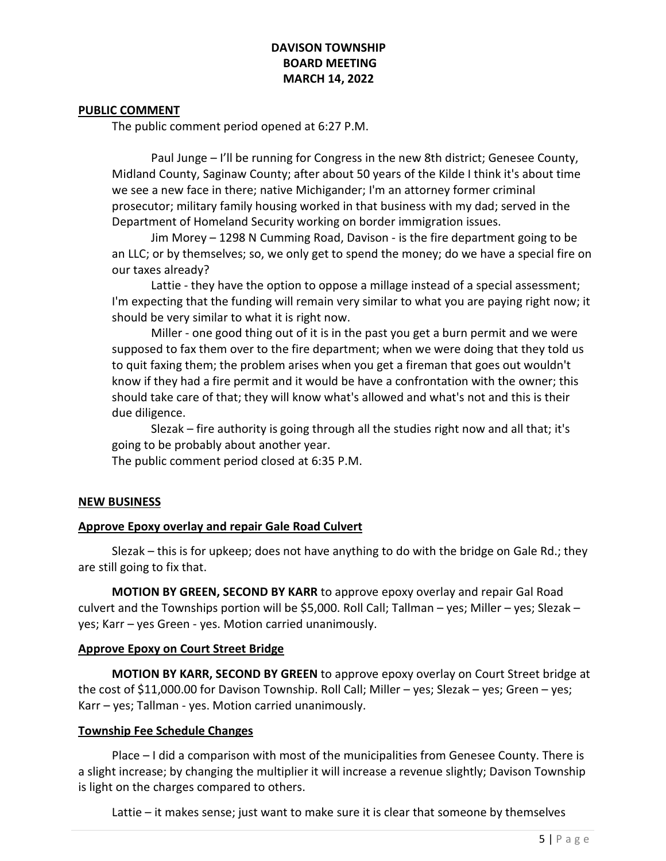#### PUBLIC COMMENT

The public comment period opened at 6:27 P.M.

 Paul Junge – I'll be running for Congress in the new 8th district; Genesee County, Midland County, Saginaw County; after about 50 years of the Kilde I think it's about time we see a new face in there; native Michigander; I'm an attorney former criminal prosecutor; military family housing worked in that business with my dad; served in the Department of Homeland Security working on border immigration issues.

 Jim Morey – 1298 N Cumming Road, Davison - is the fire department going to be an LLC; or by themselves; so, we only get to spend the money; do we have a special fire on our taxes already?

 Lattie - they have the option to oppose a millage instead of a special assessment; I'm expecting that the funding will remain very similar to what you are paying right now; it should be very similar to what it is right now.

 Miller - one good thing out of it is in the past you get a burn permit and we were supposed to fax them over to the fire department; when we were doing that they told us to quit faxing them; the problem arises when you get a fireman that goes out wouldn't know if they had a fire permit and it would be have a confrontation with the owner; this should take care of that; they will know what's allowed and what's not and this is their due diligence.

 Slezak – fire authority is going through all the studies right now and all that; it's going to be probably about another year.

The public comment period closed at 6:35 P.M.

#### NEW BUSINESS

## Approve Epoxy overlay and repair Gale Road Culvert

 Slezak – this is for upkeep; does not have anything to do with the bridge on Gale Rd.; they are still going to fix that.

MOTION BY GREEN, SECOND BY KARR to approve epoxy overlay and repair Gal Road culvert and the Townships portion will be \$5,000. Roll Call; Tallman – yes; Miller – yes; Slezak – yes; Karr – yes Green - yes. Motion carried unanimously.

#### Approve Epoxy on Court Street Bridge

MOTION BY KARR, SECOND BY GREEN to approve epoxy overlay on Court Street bridge at the cost of \$11,000.00 for Davison Township. Roll Call; Miller – yes; Slezak – yes; Green – yes; Karr – yes; Tallman - yes. Motion carried unanimously.

#### Township Fee Schedule Changes

 Place – I did a comparison with most of the municipalities from Genesee County. There is a slight increase; by changing the multiplier it will increase a revenue slightly; Davison Township is light on the charges compared to others.

Lattie – it makes sense; just want to make sure it is clear that someone by themselves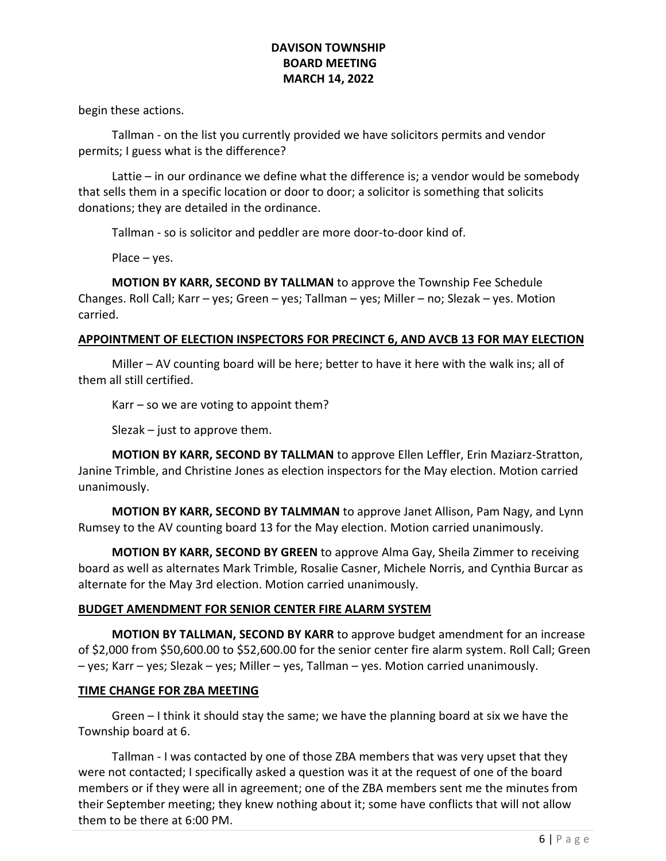begin these actions.

 Tallman - on the list you currently provided we have solicitors permits and vendor permits; I guess what is the difference?

 Lattie – in our ordinance we define what the difference is; a vendor would be somebody that sells them in a specific location or door to door; a solicitor is something that solicits donations; they are detailed in the ordinance.

Tallman - so is solicitor and peddler are more door-to-door kind of.

Place – yes.

MOTION BY KARR, SECOND BY TALLMAN to approve the Township Fee Schedule Changes. Roll Call; Karr – yes; Green – yes; Tallman – yes; Miller – no; Slezak – yes. Motion carried.

#### APPOINTMENT OF ELECTION INSPECTORS FOR PRECINCT 6, AND AVCB 13 FOR MAY ELECTION

 Miller – AV counting board will be here; better to have it here with the walk ins; all of them all still certified.

Karr – so we are voting to appoint them?

Slezak – just to approve them.

 MOTION BY KARR, SECOND BY TALLMAN to approve Ellen Leffler, Erin Maziarz-Stratton, Janine Trimble, and Christine Jones as election inspectors for the May election. Motion carried unanimously.

 MOTION BY KARR, SECOND BY TALMMAN to approve Janet Allison, Pam Nagy, and Lynn Rumsey to the AV counting board 13 for the May election. Motion carried unanimously.

 MOTION BY KARR, SECOND BY GREEN to approve Alma Gay, Sheila Zimmer to receiving board as well as alternates Mark Trimble, Rosalie Casner, Michele Norris, and Cynthia Burcar as alternate for the May 3rd election. Motion carried unanimously.

## BUDGET AMENDMENT FOR SENIOR CENTER FIRE ALARM SYSTEM

MOTION BY TALLMAN, SECOND BY KARR to approve budget amendment for an increase of \$2,000 from \$50,600.00 to \$52,600.00 for the senior center fire alarm system. Roll Call; Green – yes; Karr – yes; Slezak – yes; Miller – yes, Tallman – yes. Motion carried unanimously.

## TIME CHANGE FOR ZBA MEETING

 Green – I think it should stay the same; we have the planning board at six we have the Township board at 6.

 Tallman - I was contacted by one of those ZBA members that was very upset that they were not contacted; I specifically asked a question was it at the request of one of the board members or if they were all in agreement; one of the ZBA members sent me the minutes from their September meeting; they knew nothing about it; some have conflicts that will not allow them to be there at 6:00 PM.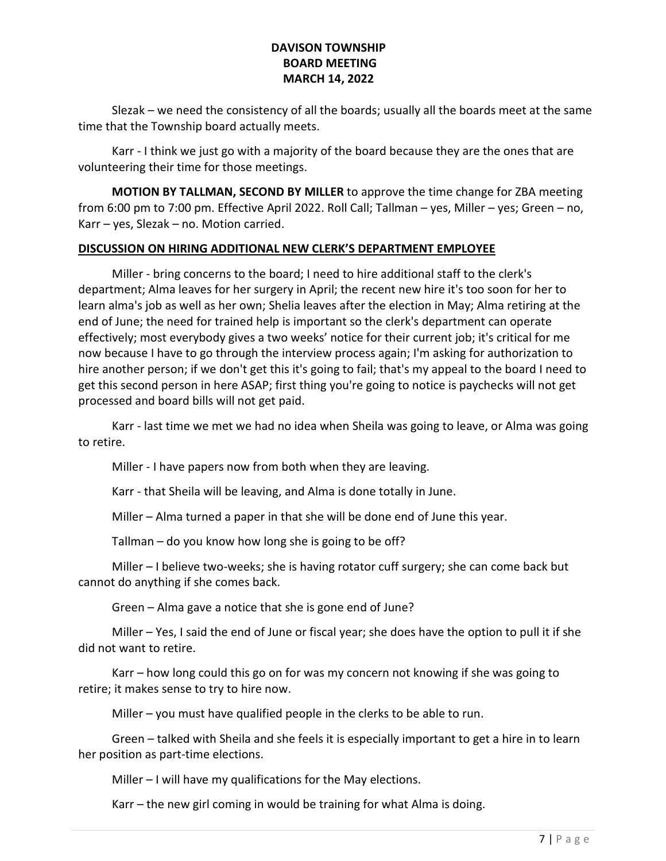Slezak – we need the consistency of all the boards; usually all the boards meet at the same time that the Township board actually meets.

 Karr - I think we just go with a majority of the board because they are the ones that are volunteering their time for those meetings.

MOTION BY TALLMAN, SECOND BY MILLER to approve the time change for ZBA meeting from 6:00 pm to 7:00 pm. Effective April 2022. Roll Call; Tallman – yes, Miller – yes; Green – no, Karr – yes, Slezak – no. Motion carried.

## DISCUSSION ON HIRING ADDITIONAL NEW CLERK'S DEPARTMENT EMPLOYEE

 Miller - bring concerns to the board; I need to hire additional staff to the clerk's department; Alma leaves for her surgery in April; the recent new hire it's too soon for her to learn alma's job as well as her own; Shelia leaves after the election in May; Alma retiring at the end of June; the need for trained help is important so the clerk's department can operate effectively; most everybody gives a two weeks' notice for their current job; it's critical for me now because I have to go through the interview process again; I'm asking for authorization to hire another person; if we don't get this it's going to fail; that's my appeal to the board I need to get this second person in here ASAP; first thing you're going to notice is paychecks will not get processed and board bills will not get paid.

 Karr - last time we met we had no idea when Sheila was going to leave, or Alma was going to retire.

Miller - I have papers now from both when they are leaving.

Karr - that Sheila will be leaving, and Alma is done totally in June.

Miller – Alma turned a paper in that she will be done end of June this year.

Tallman – do you know how long she is going to be off?

 Miller – I believe two-weeks; she is having rotator cuff surgery; she can come back but cannot do anything if she comes back.

Green – Alma gave a notice that she is gone end of June?

 Miller – Yes, I said the end of June or fiscal year; she does have the option to pull it if she did not want to retire.

 Karr – how long could this go on for was my concern not knowing if she was going to retire; it makes sense to try to hire now.

Miller – you must have qualified people in the clerks to be able to run.

 Green – talked with Sheila and she feels it is especially important to get a hire in to learn her position as part-time elections.

Miller – I will have my qualifications for the May elections.

Karr – the new girl coming in would be training for what Alma is doing.